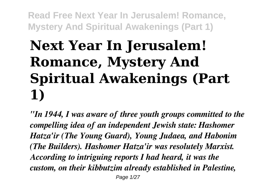# **Next Year In Jerusalem! Romance, Mystery And Spiritual Awakenings (Part 1)**

*"In 1944, I was aware of three youth groups committed to the compelling idea of an independent Jewish state: Hashomer Hatza'ir (The Young Guard), Young Judaea, and Habonim (The Builders). Hashomer Hatza'ir was resolutely Marxist. According to intriguing reports I had heard, it was the custom, on their kibbutzim already established in Palestine,* Page 1/27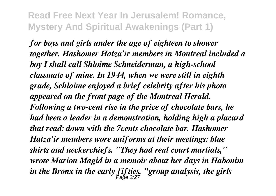*for boys and girls under the age of eighteen to shower together. Hashomer Hatza'ir members in Montreal included a boy I shall call Shloime Schneiderman, a high-school classmate of mine. In 1944, when we were still in eighth grade, Schloime enjoyed a brief celebrity after his photo appeared on the front page of the Montreal Herald. Following a two-cent rise in the price of chocolate bars, he had been a leader in a demonstration, holding high a placard that read: down with the 7cents chocolate bar. Hashomer Hatza'ir members wore uniforms at their meetings: blue shirts and neckerchiefs. "They had real court martials," wrote Marion Magid in a memoir about her days in Habonim in the Bronx in the early fifties, "group analysis, the girls* Page 2/27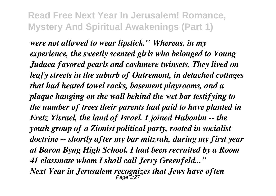*were not allowed to wear lipstick." Whereas, in my experience, the sweetly scented girls who belonged to Young Judaea favored pearls and cashmere twinsets. They lived on leafy streets in the suburb of Outremont, in detached cottages that had heated towel racks, basement playrooms, and a plaque hanging on the wall behind the wet bar testifying to the number of trees their parents had paid to have planted in Eretz Yisrael, the land of Israel. I joined Habonim -- the youth group of a Zionist political party, rooted in socialist doctrine -- shortly after my bar mitzvah, during my first year at Baron Byng High School. I had been recruited by a Room 41 classmate whom I shall call Jerry Greenfeld..." Next Year in Jerusalem recognizes that Jews have often* Page 3/27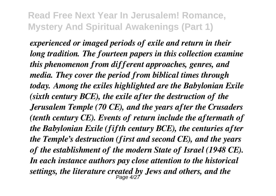*experienced or imaged periods of exile and return in their long tradition. The fourteen papers in this collection examine this phenomenon from different approaches, genres, and media. They cover the period from biblical times through today. Among the exiles highlighted are the Babylonian Exile (sixth century BCE), the exile after the destruction of the Jerusalem Temple (70 CE), and the years after the Crusaders (tenth century CE). Events of return include the aftermath of the Babylonian Exile (fifth century BCE), the centuries after the Temple's destruction (first and second CE), and the years of the establishment of the modern State of Israel (1948 CE). In each instance authors pay close attention to the historical settings, the literature created by Jews and others, and the* Page 4/27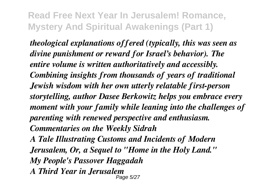*theological explanations offered (typically, this was seen as divine punishment or reward for Israel's behavior). The entire volume is written authoritatively and accessibly. Combining insights from thousands of years of traditional Jewish wisdom with her own utterly relatable first-person storytelling, author Dasee Berkowitz helps you embrace every moment with your family while leaning into the challenges of parenting with renewed perspective and enthusiasm. Commentaries on the Weekly Sidrah*

*A Tale Illustrating Customs and Incidents of Modern Jerusalem, Or, a Sequel to "Home in the Holy Land." My People's Passover Haggadah A Third Year in Jerusalem* Page 5/27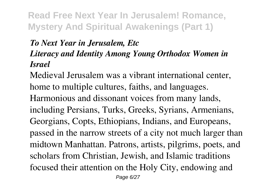#### *To Next Year in Jerusalem, Etc Literacy and Identity Among Young Orthodox Women in Israel*

Medieval Jerusalem was a vibrant international center, home to multiple cultures, faiths, and languages. Harmonious and dissonant voices from many lands, including Persians, Turks, Greeks, Syrians, Armenians, Georgians, Copts, Ethiopians, Indians, and Europeans, passed in the narrow streets of a city not much larger than midtown Manhattan. Patrons, artists, pilgrims, poets, and scholars from Christian, Jewish, and Islamic traditions focused their attention on the Holy City, endowing and Page 6/27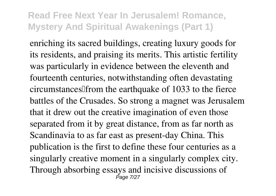enriching its sacred buildings, creating luxury goods for its residents, and praising its merits. This artistic fertility was particularly in evidence between the eleventh and fourteenth centuries, notwithstanding often devastating circumstances<sup>[[from the earthquake of 1033</sup> to the fierce] battles of the Crusades. So strong a magnet was Jerusalem that it drew out the creative imagination of even those separated from it by great distance, from as far north as Scandinavia to as far east as present-day China. This publication is the first to define these four centuries as a singularly creative moment in a singularly complex city. Through absorbing essays and incisive discussions of Page 7/27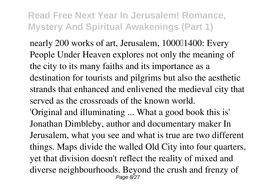nearly 200 works of art, Jerusalem, 100001400: Every People Under Heaven explores not only the meaning of the city to its many faiths and its importance as a destination for tourists and pilgrims but also the aesthetic strands that enhanced and enlivened the medieval city that served as the crossroads of the known world.

'Original and illuminating ... What a good book this is' Jonathan Dimbleby, author and documentary maker In Jerusalem, what you see and what is true are two different things. Maps divide the walled Old City into four quarters, yet that division doesn't reflect the reality of mixed and diverse neighbourhoods. Beyond the crush and frenzy of Page 8/27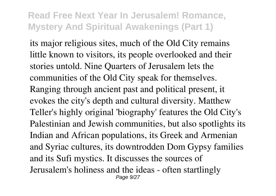its major religious sites, much of the Old City remains little known to visitors, its people overlooked and their stories untold. Nine Quarters of Jerusalem lets the communities of the Old City speak for themselves. Ranging through ancient past and political present, it evokes the city's depth and cultural diversity. Matthew Teller's highly original 'biography' features the Old City's Palestinian and Jewish communities, but also spotlights its Indian and African populations, its Greek and Armenian and Syriac cultures, its downtrodden Dom Gypsy families and its Sufi mystics. It discusses the sources of Jerusalem's holiness and the ideas - often startlingly Page 9/27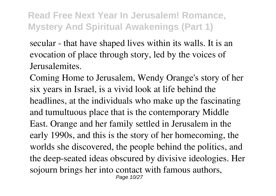secular - that have shaped lives within its walls. It is an evocation of place through story, led by the voices of Jerusalemites.

Coming Home to Jerusalem, Wendy Orange's story of her six years in Israel, is a vivid look at life behind the headlines, at the individuals who make up the fascinating and tumultuous place that is the contemporary Middle East. Orange and her family settled in Jerusalem in the early 1990s, and this is the story of her homecoming, the worlds she discovered, the people behind the politics, and the deep-seated ideas obscured by divisive ideologies. Her sojourn brings her into contact with famous authors, Page 10/27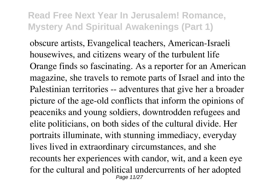obscure artists, Evangelical teachers, American-Israeli housewives, and citizens weary of the turbulent life Orange finds so fascinating. As a reporter for an American magazine, she travels to remote parts of Israel and into the Palestinian territories -- adventures that give her a broader picture of the age-old conflicts that inform the opinions of peaceniks and young soldiers, downtrodden refugees and elite politicians, on both sides of the cultural divide. Her portraits illuminate, with stunning immediacy, everyday lives lived in extraordinary circumstances, and she recounts her experiences with candor, wit, and a keen eye for the cultural and political undercurrents of her adopted Page 11/27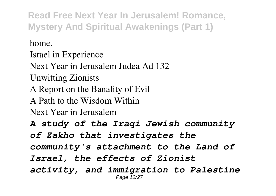home.

Israel in Experience

Next Year in Jerusalem Judea Ad 132

Unwitting Zionists

A Report on the Banality of Evil

A Path to the Wisdom Within

Next Year in Jerusalem

*A study of the Iraqi Jewish community of Zakho that investigates the community's attachment to the Land of Israel, the effects of Zionist activity, and immigration to Palestine* Page 12/2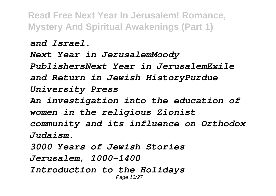*and Israel.*

*Next Year in JerusalemMoody PublishersNext Year in JerusalemExile and Return in Jewish HistoryPurdue University Press*

*An investigation into the education of women in the religious Zionist community and its influence on Orthodox Judaism.*

*3000 Years of Jewish Stories Jerusalem, 1000–1400 Introduction to the Holidays* Page 13/27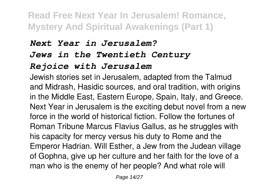#### *Next Year in Jerusalem?*

#### *Jews in the Twentieth Century*

#### *Rejoice with Jerusalem*

Jewish stories set in Jerusalem, adapted from the Talmud and Midrash, Hasidic sources, and oral tradition, with origins in the Middle East, Eastern Europe, Spain, Italy, and Greece. Next Year in Jerusalem is the exciting debut novel from a new force in the world of historical fiction. Follow the fortunes of Roman Tribune Marcus Flavius Gallus, as he struggles with his capacity for mercy versus his duty to Rome and the Emperor Hadrian. Will Esther, a Jew from the Judean village of Gophna, give up her culture and her faith for the love of a man who is the enemy of her people? And what role will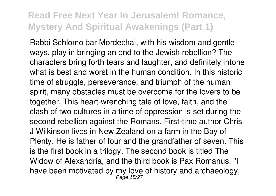Rabbi Schlomo bar Mordechai, with his wisdom and gentle ways, play in bringing an end to the Jewish rebellion? The characters bring forth tears and laughter, and definitely intone what is best and worst in the human condition. In this historic time of struggle, perseverance, and triumph of the human spirit, many obstacles must be overcome for the lovers to be together. This heart-wrenching tale of love, faith, and the clash of two cultures in a time of oppression is set during the second rebellion against the Romans. First-time author Chris J Wilkinson lives in New Zealand on a farm in the Bay of Plenty. He is father of four and the grandfather of seven. This is the first book in a trilogy. The second book is titled The Widow of Alexandria, and the third book is Pax Romanus. "I have been motivated by my love of history and archaeology,<br>Page 15/27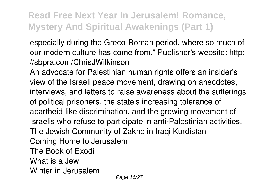especially during the Greco-Roman period, where so much of our modern culture has come from." Publisher's website: http: //sbpra.com/ChrisJWilkinson

An advocate for Palestinian human rights offers an insider's view of the Israeli peace movement, drawing on anecdotes, interviews, and letters to raise awareness about the sufferings of political prisoners, the state's increasing tolerance of apartheid-like discrimination, and the growing movement of Israelis who refuse to participate in anti-Palestinian activities. The Jewish Community of Zakho in Iraqi Kurdistan Coming Home to Jerusalem The Book of Exodi What is a Jew Winter in Jerusalem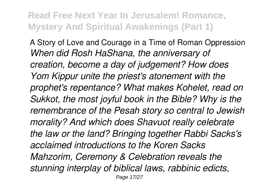A Story of Love and Courage in a Time of Roman Oppression *When did Rosh HaShana, the anniversary of creation, become a day of judgement? How does Yom Kippur unite the priest's atonement with the prophet's repentance? What makes Kohelet, read on Sukkot, the most joyful book in the Bible? Why is the remembrance of the Pesah story so central to Jewish morality? And which does Shavuot really celebrate the law or the land? Bringing together Rabbi Sacks's acclaimed introductions to the Koren Sacks Mahzorim, Ceremony & Celebration reveals the stunning interplay of biblical laws, rabbinic edicts,* Page 17/27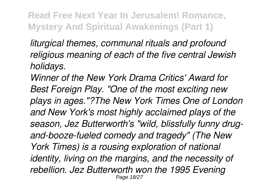*liturgical themes, communal rituals and profound religious meaning of each of the five central Jewish holidays.*

*Winner of the New York Drama Critics' Award for Best Foreign Play. "One of the most exciting new plays in ages."?The New York Times One of London and New York's most highly acclaimed plays of the season, Jez Butterworth's "wild, blissfully funny drugand-booze-fueled comedy and tragedy" (The New York Times) is a rousing exploration of national identity, living on the margins, and the necessity of rebellion. Jez Butterworth won the 1995 Evening* Page 18/27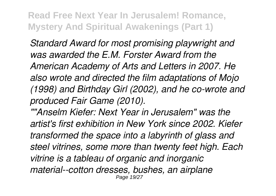*Standard Award for most promising playwright and was awarded the E.M. Forster Award from the American Academy of Arts and Letters in 2007. He also wrote and directed the film adaptations of Mojo (1998) and Birthday Girl (2002), and he co-wrote and produced Fair Game (2010).*

*""Anselm Kiefer: Next Year in Jerusalem" was the artist's first exhibition in New York since 2002. Kiefer transformed the space into a labyrinth of glass and steel vitrines, some more than twenty feet high. Each vitrine is a tableau of organic and inorganic material--cotton dresses, bushes, an airplane* Page 19/27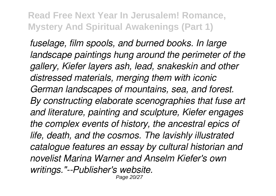*fuselage, film spools, and burned books. In large landscape paintings hung around the perimeter of the gallery, Kiefer layers ash, lead, snakeskin and other distressed materials, merging them with iconic German landscapes of mountains, sea, and forest. By constructing elaborate scenographies that fuse art and literature, painting and sculpture, Kiefer engages the complex events of history, the ancestral epics of life, death, and the cosmos. The lavishly illustrated catalogue features an essay by cultural historian and novelist Marina Warner and Anselm Kiefer's own writings."--Publisher's website.* Page 20/27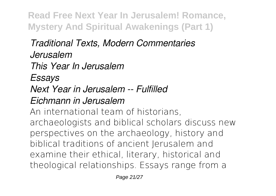#### *Traditional Texts, Modern Commentaries Jerusalem*

*This Year In Jerusalem*

*Essays*

# *Next Year in Jerusalem -- Fulfilled*

### *Eichmann in Jerusalem*

An international team of historians, archaeologists and biblical scholars discuss new perspectives on the archaeology, history and biblical traditions of ancient Jerusalem and examine their ethical, literary, historical and theological relationships. Essays range from a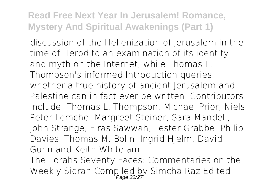discussion of the Hellenization of Jerusalem in the time of Herod to an examination of its identity and myth on the Internet, while Thomas L. Thompson's informed Introduction queries whether a true history of ancient Jerusalem and Palestine can in fact ever be written. Contributors include: Thomas L. Thompson, Michael Prior, Niels Peter Lemche, Margreet Steiner, Sara Mandell, John Strange, Firas Sawwah, Lester Grabbe, Philip Davies, Thomas M. Bolin, Ingrid Hjelm, David Gunn and Keith Whitelam.

The Torahs Seventy Faces: Commentaries on the Weekly Sidrah Compiled by Simcha Raz Edited<br>Page 22/27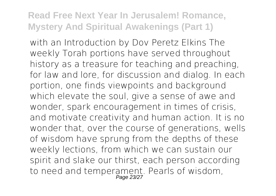with an Introduction by Dov Peretz Elkins The weekly Torah portions have served throughout history as a treasure for teaching and preaching, for law and lore, for discussion and dialog. In each portion, one finds viewpoints and background which elevate the soul, give a sense of awe and wonder, spark encouragement in times of crisis, and motivate creativity and human action. It is no wonder that, over the course of generations, wells of wisdom have sprung from the depths of these weekly lections, from which we can sustain our spirit and slake our thirst, each person according to need and temperament. Pearls of wisdom,<br>Page 23/27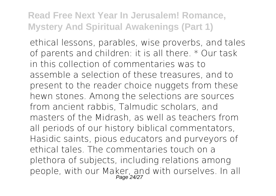ethical lessons, parables, wise proverbs, and tales of parents and children: it is all there. \* Our task in this collection of commentaries was to assemble a selection of these treasures, and to present to the reader choice nuggets from these hewn stones. Among the selections are sources from ancient rabbis, Talmudic scholars, and masters of the Midrash, as well as teachers from all periods of our history biblical commentators, Hasidic saints, pious educators and purveyors of ethical tales. The commentaries touch on a plethora of subjects, including relations among people, with our Maker, and with ourselves. In all<br>Page 24/27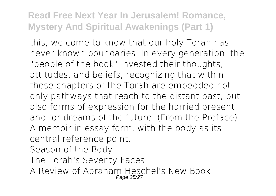this, we come to know that our holy Torah has never known boundaries. In every generation, the "people of the book" invested their thoughts, attitudes, and beliefs, recognizing that within these chapters of the Torah are embedded not only pathways that reach to the distant past, but also forms of expression for the harried present and for dreams of the future. (From the Preface) A memoir in essay form, with the body as its central reference point. Season of the Body

- The Torah's Seventy Faces
- A Review of Abraham Heschel's New Book Page 25/2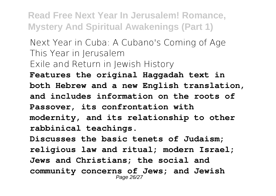Next Year in Cuba: A Cubano's Coming of Age This Year in Jerusalem Exile and Return in Jewish History **Features the original Haggadah text in both Hebrew and a new English translation,**

**and includes information on the roots of Passover, its confrontation with modernity, and its relationship to other rabbinical teachings.**

**Discusses the basic tenets of Judaism; religious law and ritual; modern Israel; Jews and Christians; the social and community concerns of Jews; and Jewish** Page 26/27